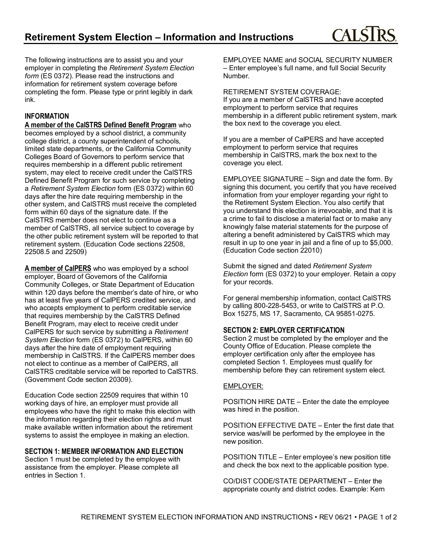The following instructions are to assist you and your employer in completing the *Retirement System Election form* (ES 0372). Please read the instructions and information for retirement system coverage before completing the form. Please type or print legibly in dark ink.

## **INFORMATION**

**A member of the CalSTRS Defined Benefit Program** who becomes employed by a school district, a community college district, a county superintendent of schools, limited state departments, or the California Community Colleges Board of Governors to perform service that requires membership in a different public retirement system, may elect to receive credit under the CalSTRS Defined Benefit Program for such service by completing a *Retirement System Election* form (ES 0372) within 60 days after the hire date requiring membership in the other system, and CalSTRS must receive the completed form within 60 days of the signature date. If the CalSTRS member does not elect to continue as a member of CalSTRS, all service subject to coverage by the other public retirement system will be reported to that retirement system. (Education Code sections 22508, 22508.5 and 22509)

**A member of CalPERS** who was employed by a school employer, Board of Governors of the California Community Colleges, or State Department of Education within 120 days before the member's date of hire, or who has at least five years of CalPERS credited service, and who accepts employment to perform creditable service that requires membership by the CalSTRS Defined Benefit Program, may elect to receive credit under CalPERS for such service by submitting a *Retirement System Election* form (ES 0372) to CalPERS, within 60 days after the hire date of employment requiring membership in CalSTRS. If the CalPERS member does not elect to continue as a member of CalPERS, all CalSTRS creditable service will be reported to CalSTRS. (Government Code section 20309).

Education Code section 22509 requires that within 10 working days of hire, an employer must provide all employees who have the right to make this election with the information regarding their election rights and must make available written information about the retirement systems to assist the employee in making an election.

## **SECTION 1: MEMBER INFORMATION AND ELECTION**

Section 1 must be completed by the employee with assistance from the employer. Please complete all entries in Section 1.

EMPLOYEE NAME and SOCIAL SECURITY NUMBER – Enter employee's full name, and full Social Security Number.

RETIREMENT SYSTEM COVERAGE:

If you are a member of CalSTRS and have accepted employment to perform service that requires membership in a different public retirement system, mark the box next to the coverage you elect.

If you are a member of CalPERS and have accepted employment to perform service that requires membership in CalSTRS, mark the box next to the coverage you elect.

EMPLOYEE SIGNATURE – Sign and date the form. By signing this document, you certify that you have received information from your employer regarding your right to the Retirement System Election. You also certify that you understand this election is irrevocable, and that it is a crime to fail to disclose a material fact or to make any knowingly false material statements for the purpose of altering a benefit administered by CalSTRS which may result in up to one year in jail and a fine of up to \$5,000. (Education Code section 22010)

Submit the signed and dated *Retirement System Election* form (ES 0372) to your employer. Retain a copy for your records.

For general membership information, contact CalSTRS by calling 800-228-5453, or write to CalSTRS at P.O. Box 15275, MS 17, Sacramento, CA 95851-0275.

## **SECTION 2: EMPLOYER CERTIFICATION**

Section 2 must be completed by the employer and the County Office of Education. Please complete the employer certification only after the employee has completed Section 1. Employees must qualify for membership before they can retirement system elect.

### EMPLOYER:

POSITION HIRE DATE – Enter the date the employee was hired in the position.

POSITION EFFECTIVE DATE – Enter the first date that service was/will be performed by the employee in the new position.

POSITION TITLE – Enter employee's new position title and check the box next to the applicable position type.

CO/DIST CODE/STATE DEPARTMENT – Enter the appropriate county and district codes. Example: Kern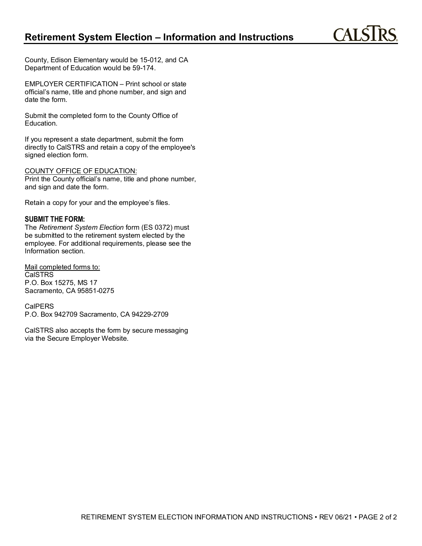CALS<sub>1</sub>

County, Edison Elementary would be 15-012, and CA Department of Education would be 59-174.

EMPLOYER CERTIFICATION – Print school or state official's name, title and phone number, and sign and date the form.

Submit the completed form to the County Office of Education.

If you represent a state department, submit the form directly to CalSTRS and retain a copy of the employee's signed election form.

#### COUNTY OFFICE OF EDUCATION:

Print the County official's name, title and phone number, and sign and date the form.

Retain a copy for your and the employee's files.

### **SUBMIT THE FORM:**

The *Retirement System Election* form (ES 0372) must be submitted to the retirement system elected by the employee. For additional requirements, please see the Information section.

Mail completed forms to: CalSTRS P.O. Box 15275, MS 17 Sacramento, CA 95851-0275

CalPERS P.O. Box 942709 Sacramento, CA 94229-2709

CalSTRS also accepts the form by secure messaging via the Secure Employer Website.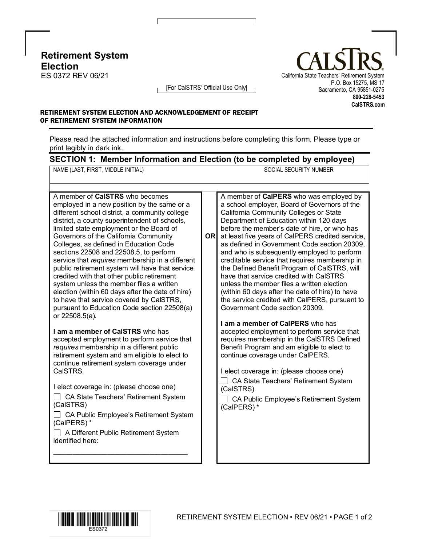**Retirement System Election**<br>ES 0372 REV 06/21



[For CalSTRS' Official Use Only]

## RETIREMENT SYSTEM ELECTION AND ACKNOWLEDGEMENT OF RECEIPT OF RETIREMENT SYSTEM INFORMATION

Please read the attached information and instructions before completing this form. Please type or print legibly in dark ink.

# **SECTION 1: Member Information and Election (to be completed by employee)**

NAME (LAST, FIRST, MIDDLE INITIAL) SOCIAL SECURITY NUMBER

A member of **CalPERS** who was employed by a school employer, Board of Governors of the California Community Colleges or State Department of Education within 120 days before the member's date of hire, or who has

**OR** at least five years of CalPERS credited service,

Government Code section 20309.

**I am a member of CalPERS** who has

continue coverage under CalPERS.

accepted employment to perform service that requires membership in the CalSTRS Defined Benefit Program and am eligible to elect to

as defined in Government Code section 20309, and who is subsequently employed to perform creditable service that requires membership in the Defined Benefit Program of CalSTRS, will have that service credited with CalSTRS unless the member files a written election (within 60 days after the date of hire) to have the service credited with CalPERS, pursuant to

A member of **CalSTRS** who becomes employed in a new position by the same or a different school district, a community college district, a county superintendent of schools, limited state employment or the Board of Governors of the California Community Colleges, as defined in Education Code sections 22508 and 22508.5, to perform service that *requires* membership in a different public retirement system will have that service credited with that other public retirement system unless the member files a written election (within 60 days after the date of hire) to have that service covered by CalSTRS, pursuant to Education Code section 22508(a) or 22508.5(a).

**I am a member of CalSTRS** who has accepted employment to perform service that *requires* membership in a different public retirement system and am eligible to elect to continue retirement system coverage under CalSTRS.

I elect coverage in: (please choose one) □ CA State Teachers' Retirement System (CalSTRS)

□ CA State Teachers' Retirement System □ CA Public Employee's Retirement System (CalPERS) \*

□ CA Public Employee's Retirement System (CalPERS) \*

□ A Different Public Retirement System identified here:

**\_\_\_\_\_\_\_\_\_\_\_\_\_\_\_\_\_\_\_\_\_\_\_\_\_\_\_\_\_\_\_\_\_\_\_**

I elect coverage in: (please choose one)

(CalSTRS)